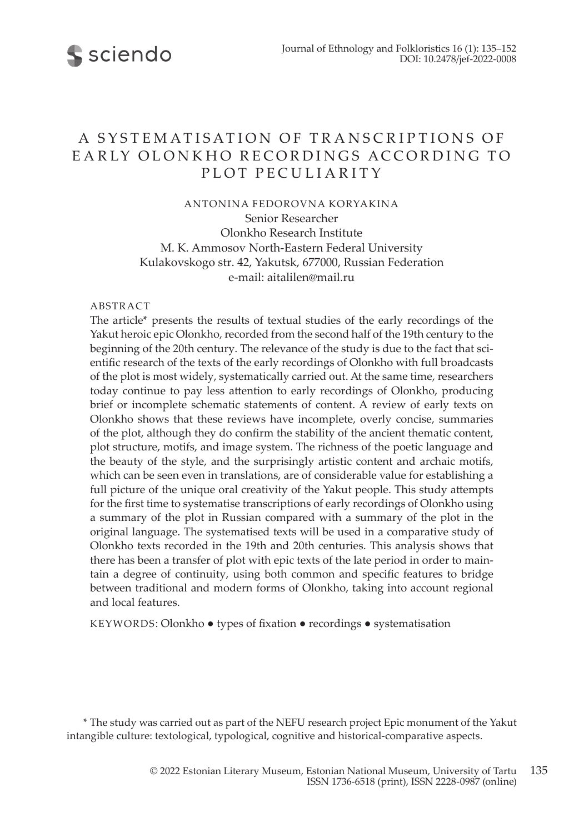

# A SYSTEMATISATION OF TRANSCRIPTIONS OF EA RLY OLONK HO RECORDINGS ACCORDING TO PLOT PECULIARITY

ANTONINA FEDOROVNA KORYAKINA

Senior Researcher Olonkho Research Institute M. K. Ammosov North-Eastern Federal University Kulakovskogo str. 42, Yakutsk, 677000, Russian Federation e-mail: aitalilen@mail.ru

#### ABSTRACT

The article\* presents the results of textual studies of the early recordings of the Yakut heroic epic Olonkho, recorded from the second half of the 19th century to the beginning of the 20th century. The relevance of the study is due to the fact that scientific research of the texts of the early recordings of Olonkho with full broadcasts of the plot is most widely, systematically carried out. At the same time, researchers today continue to pay less attention to early recordings of Olonkho, producing brief or incomplete schematic statements of content. A review of early texts on Olonkho shows that these reviews have incomplete, overly concise, summaries of the plot, although they do confirm the stability of the ancient thematic content, plot structure, motifs, and image system. The richness of the poetic language and the beauty of the style, and the surprisingly artistic content and archaic motifs, which can be seen even in translations, are of considerable value for establishing a full picture of the unique oral creativity of the Yakut people. This study attempts for the first time to systematise transcriptions of early recordings of Olonkho using a summary of the plot in Russian compared with a summary of the plot in the original language. The systematised texts will be used in a comparative study of Olonkho texts recorded in the 19th and 20th centuries. This analysis shows that there has been a transfer of plot with epic texts of the late period in order to maintain a degree of continuity, using both common and specific features to bridge between traditional and modern forms of Olonkho, taking into account regional and local features.

KEYWORDS: Olonkho ● types of fixation ● recordings ● systematisation

\* The study was carried out as part of the NEFU research project Epic monument of the Yakut intangible culture: textological, typological, cognitive and historical-comparative aspects.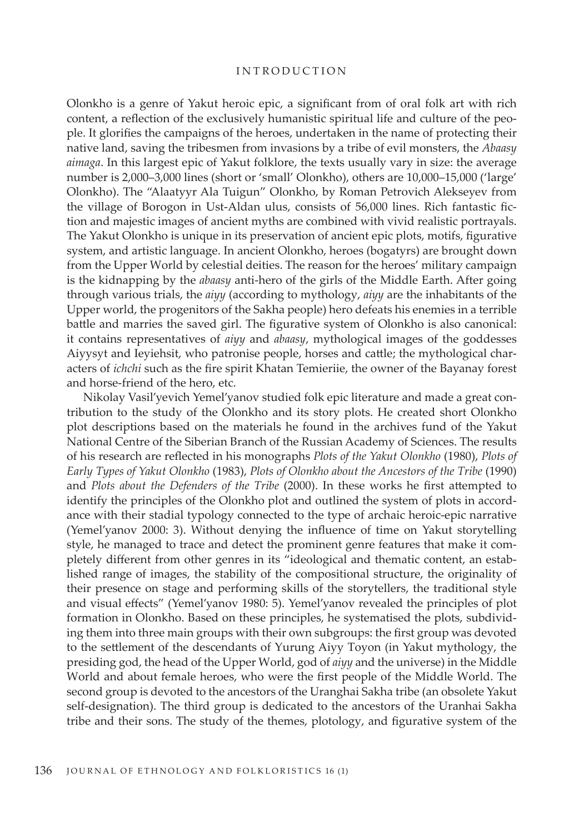#### **INTRODUCTION**

Olonkho is a genre of Yakut heroic epic, a significant from of oral folk art with rich content, a reflection of the exclusively humanistic spiritual life and culture of the people. It glorifies the campaigns of the heroes, undertaken in the name of protecting their native land, saving the tribesmen from invasions by a tribe of evil monsters, the *Abaasy aimaga*. In this largest epic of Yakut folklore, the texts usually vary in size: the average number is 2,000–3,000 lines (short or 'small' Olonkho), others are 10,000–15,000 ('large' Olonkho). The "Alaatyyr Ala Tuigun" Olonkho, by Roman Petrovich Alekseyev from the village of Borogon in Ust-Aldan ulus, consists of 56,000 lines. Rich fantastic fiction and majestic images of ancient myths are combined with vivid realistic portrayals. The Yakut Olonkho is unique in its preservation of ancient epic plots, motifs, figurative system, and artistic language. In ancient Olonkho, heroes (bogatyrs) are brought down from the Upper World by celestial deities. The reason for the heroes' military campaign is the kidnapping by the *abaasy* anti-hero of the girls of the Middle Earth. After going through various trials, the *aiyy* (аccording to mythology, *aiyy* are the inhabitants of the Upper world, the progenitors of the Sakha people) hero defeats his enemies in a terrible battle and marries the saved girl. The figurative system of Olonkho is also canonical: it contains representatives of *aiyy* and *abaasy*, mythological images of the goddesses Aiyysyt and Ieyiehsit, who patronise people, horses and cattle; the mythological characters of *ichchi* such as the fire spirit Khatan Temieriie, the owner of the Bayanay forest and horse-friend of the hero, etc.

Nikolay Vasil'yevich Yemel'yanov studied folk epic literature and made a great contribution to the study of the Olonkho and its story plots. He created short Olonkho plot descriptions based on the materials he found in the archives fund of the Yakut National Centre of the Siberian Branch of the Russian Academy of Sciences. The results of his research are reflected in his monographs *Plots of the Yakut Olonkho* (1980), *Plots of Early Types of Yakut Olonkho* (1983), *Plots of Olonkho about the Ancestors of the Tribe* (1990) and *Plots about the Defenders of the Tribe* (2000). In these works he first attempted to identify the principles of the Olonkho plot and outlined the system of plots in accordance with their stadial typology connected to the type of archaic heroic-epic narrative (Yemel'yanov 2000: 3). Without denying the influence of time on Yakut storytelling style, he managed to trace and detect the prominent genre features that make it completely different from other genres in its "ideological and thematic content, an established range of images, the stability of the compositional structure, the originality of their presence on stage and performing skills of the storytellers, the traditional style and visual effects" (Yemel'yanov 1980: 5). Yemel'yanov revealed the principles of plot formation in Olonkho. Based on these principles, he systematised the plots, subdividing them into three main groups with their own subgroups: the first group was devoted to the settlement of the descendants of Yurung Aiyy Toyon (in Yakut mythology, the presiding god, the head of the Upper World, god of *aiyy* and the universe) in the Middle World and about female heroes, who were the first people of the Middle World. The second group is devoted to the ancestors of the Uranghai Sakha tribe (an obsolete Yakut self-designation). The third group is dedicated to the ancestors of the Uranhai Sakha tribe and their sons. The study of the themes, plotology, and figurative system of the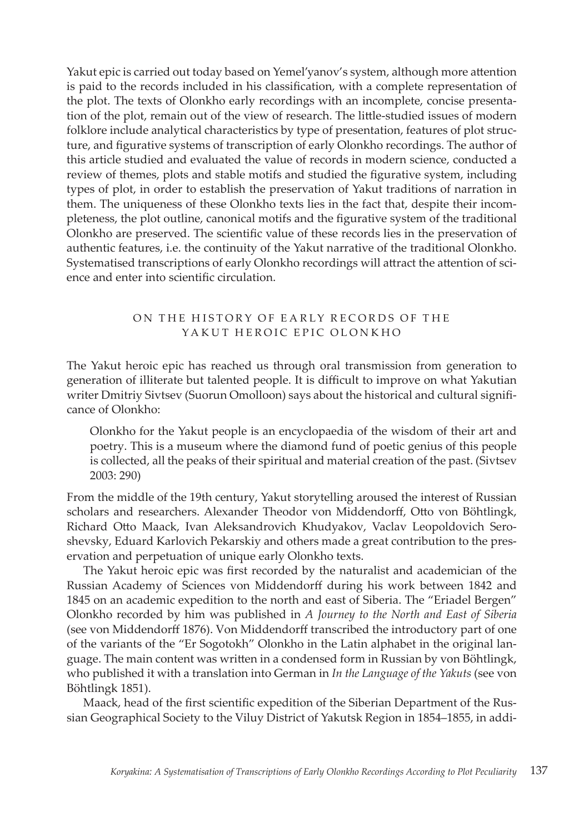Yakut epic is carried out today based on Yemel'yanov's system, although more attention is paid to the records included in his classification, with a complete representation of the plot. The texts of Olonkho early recordings with an incomplete, concise presentation of the plot, remain out of the view of research. The little-studied issues of modern folklore include analytical characteristics by type of presentation, features of plot structure, and figurative systems of transcription of early Olonkho recordings. The author of this article studied and evaluated the value of records in modern science, conducted a review of themes, plots and stable motifs and studied the figurative system, including types of plot, in order to establish the preservation of Yakut traditions of narration in them. The uniqueness of these Olonkho texts lies in the fact that, despite their incompleteness, the plot outline, canonical motifs and the figurative system of the traditional Olonkho are preserved. The scientific value of these records lies in the preservation of authentic features, i.e. the continuity of the Yakut narrative of the traditional Olonkho. Systematised transcriptions of early Olonkho recordings will attract the attention of science and enter into scientific circulation.

# ON THE HISTORY OF EARLY RECORDS OF THE YAKUT HEROIC EPIC OLONKHO

The Yakut heroic epic has reached us through oral transmission from generation to generation of illiterate but talented people. It is difficult to improve on what Yakutian writer Dmitriy Sivtsev (Suorun Omolloon) says about the historical and cultural significance of Olonkho:

Olonkho for the Yakut people is an encyclopaedia of the wisdom of their art and poetry. This is a museum where the diamond fund of poetic genius of this people is collected, all the peaks of their spiritual and material creation of the past. (Sivtsev 2003: 290)

From the middle of the 19th century, Yakut storytelling aroused the interest of Russian scholars and researchers. Alexander Theodor von Middendorff, Otto von Böhtlingk, Richard Otto Maack, Ivan Aleksandrovich Khudyakov, Vaclav Leopoldovich Seroshevsky, Eduard Karlovich Pekarskiy and others made a great contribution to the preservation and perpetuation of unique early Olonkho texts.

The Yakut heroic epic was first recorded by the naturalist and academician of the Russian Academy of Sciences von Middendorff during his work between 1842 and 1845 on an academic expedition to the north and east of Siberia. The "Eriadel Bergen" Olonkho recorded by him was published in *A Journey to the North and East of Siberia* (see von Middendorff 1876). Von Middendorff transcribed the introductory part of one of the variants of the "Er Sogotokh" Olonkho in the Latin alphabet in the original language. The main content was written in a condensed form in Russian by von Böhtlingk, who published it with a translation into German in *In the Language of the Yakuts* (see von Böhtlingk 1851).

Maack, head of the first scientific expedition of the Siberian Department of the Russian Geographical Society to the Viluy District of Yakutsk Region in 1854–1855, in addi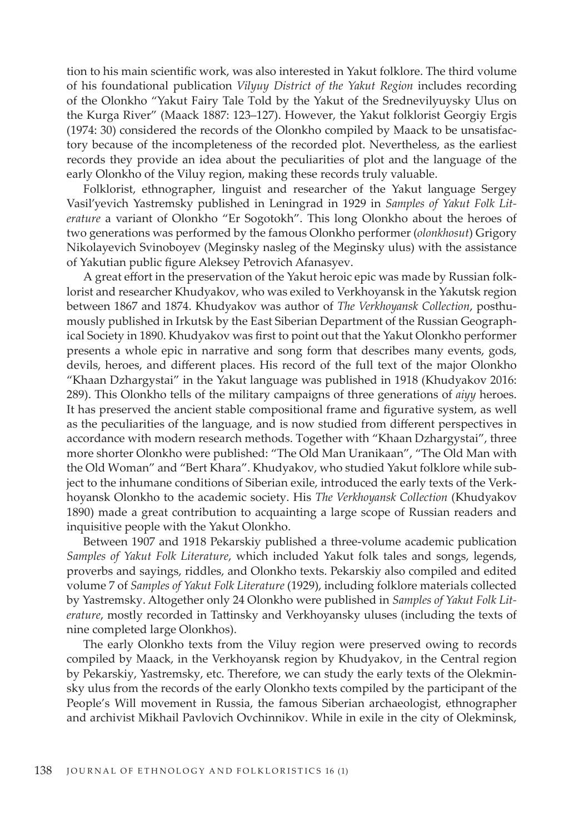tion to his main scientific work, was also interested in Yakut folklore. The third volume of his foundational publication *Vilyuy District of the Yakut Region* includes recording of the Olonkho "Yakut Fairy Tale Told by the Yakut of the Srednevilyuysky Ulus on the Kurga River" (Maack 1887: 123–127). However, the Yakut folklorist Georgiy Ergis (1974: 30) considered the records of the Olonkho compiled by Maack to be unsatisfactory because of the incompleteness of the recorded plot. Nevertheless, as the earliest records they provide an idea about the peculiarities of plot and the language of the early Olonkho of the Viluy region, making these records truly valuable.

Folklorist, ethnographer, linguist and researcher of the Yakut language Sergey Vasil'yevich Yastremsky published in Leningrad in 1929 in *Samples of Yakut Folk Literature* a variant of Olonkho "Er Sogotokh". This long Olonkho about the heroes of two generations was performed by the famous Olonkho performer (*olonkhosut*) Grigory Nikolayevich Svinoboyev (Meginsky nasleg of the Meginsky ulus) with the assistance of Yakutian public figure Aleksey Petrovich Afanasyev.

A great effort in the preservation of the Yakut heroic epic was made by Russian folklorist and researcher Khudyakov, who was exiled to Verkhoyansk in the Yakutsk region between 1867 and 1874. Khudyakov was author of *The Verkhoyansk Collection*, posthumously published in Irkutsk by the East Siberian Department of the Russian Geographical Society in 1890. Khudyakov was first to point out that the Yakut Olonkho performer presents a whole epic in narrative and song form that describes many events, gods, devils, heroes, and different places. His record of the full text of the major Olonkho "Khaan Dzhargystai" in the Yakut language was published in 1918 (Khudyakov 2016: 289). This Olonkho tells of the military campaigns of three generations of *aiyy* heroes. It has preserved the ancient stable compositional frame and figurative system, as well as the peculiarities of the language, and is now studied from different perspectives in accordance with modern research methods. Together with "Khaan Dzhargystai", three more shorter Olonkho were published: "The Old Man Uranikaan", "The Old Man with the Old Woman" and "Bert Khara". Khudyakov, who studied Yakut folklore while subject to the inhumane conditions of Siberian exile, introduced the early texts of the Verkhoyansk Olonkho to the academic society. His *The Verkhoyansk Collection* (Khudyakov 1890) made a great contribution to acquainting a large scope of Russian readers and inquisitive people with the Yakut Olonkho.

Between 1907 and 1918 Pekarskiy published a three-volume academic publication *Samples of Yakut Folk Literature*, which included Yakut folk tales and songs, legends, proverbs and sayings, riddles, and Olonkho texts. Pekarskiy also compiled and edited volume 7 of *Samples of Yakut Folk Literature* (1929), including folklore materials collected by Yastremsky. Altogether only 24 Olonkho were published in *Samples of Yakut Folk Literature*, mostly recorded in Tattinsky and Verkhoyansky uluses (including the texts of nine completed large Olonkhos).

The early Olonkho texts from the Viluy region were preserved owing to records compiled by Maack, in the Verkhoyansk region by Khudyakov, in the Central region by Pekarskiy, Yastremsky, etc. Therefore, we can study the early texts of the Olekminsky ulus from the records of the early Olonkho texts compiled by the participant of the People's Will movement in Russia, the famous Siberian archaeologist, ethnographer and archivist Mikhail Pavlovich Ovchinnikov. While in exile in the city of Olekminsk,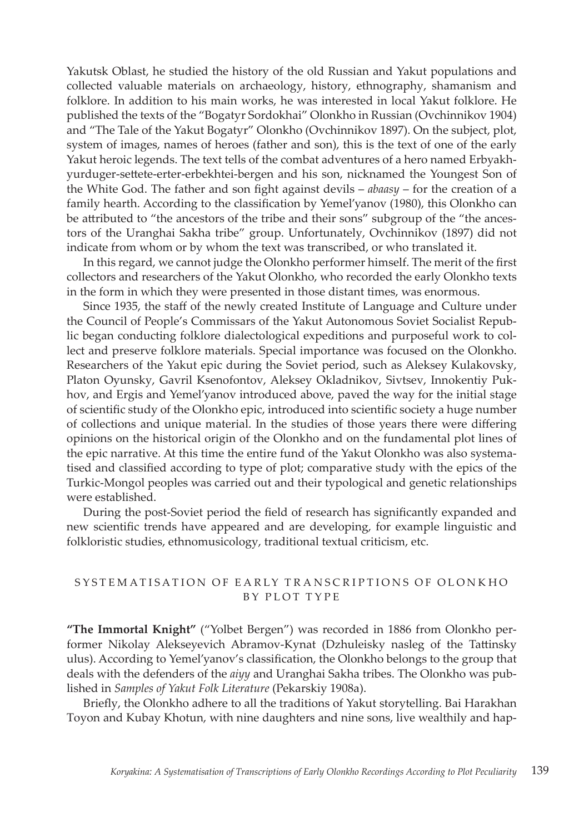Yakutsk Oblast, he studied the history of the old Russian and Yakut populations and collected valuable materials on archaeology, history, ethnography, shamanism and folklore. In addition to his main works, he was interested in local Yakut folklore. He published the texts of the "Bogatyr Sordokhai" Olonkho in Russian (Ovchinnikov 1904) and "The Tale of the Yakut Bogatyr" Olonkho (Ovchinnikov 1897). On the subject, plot, system of images, names of heroes (father and son), this is the text of one of the early Yakut heroic legends. The text tells of the combat adventures of a hero named Erbyakhyurduger-settete-erter-erbekhtei-bergen and his son, nicknamed the Youngest Son of the White God. The father and son fight against devils – *abaasy* – for the creation of a family hearth. According to the classification by Yemel'yanov (1980), this Olonkho can be attributed to "the ancestors of the tribe and their sons" subgroup of the "the ancestors of the Uranghai Sakha tribe" group. Unfortunately, Ovchinnikov (1897) did not indicate from whom or by whom the text was transcribed, or who translated it.

In this regard, we cannot judge the Olonkho performer himself. The merit of the first collectors and researchers of the Yakut Olonkho, who recorded the early Olonkho texts in the form in which they were presented in those distant times, was enormous.

Since 1935, the staff of the newly created Institute of Language and Culture under the Council of People's Commissars of the Yakut Autonomous Soviet Socialist Republic began conducting folklore dialectological expeditions and purposeful work to collect and preserve folklore materials. Special importance was focused on the Olonkho. Researchers of the Yakut epic during the Soviet period, such as Aleksey Kulakovsky, Platon Oyunsky, Gavril Ksenofontov, Aleksey Okladnikov, Sivtsev, Innokentiy Pukhov, and Ergis and Yemel'yanov introduced above, paved the way for the initial stage of scientific study of the Olonkho epic, introduced into scientific society a huge number of collections and unique material. In the studies of those years there were differing opinions on the historical origin of the Olonkho and on the fundamental plot lines of the epic narrative. At this time the entire fund of the Yakut Olonkho was also systematised and classified according to type of plot; comparative study with the epics of the Turkic-Mongol peoples was carried out and their typological and genetic relationships were established.

During the post-Soviet period the field of research has significantly expanded and new scientific trends have appeared and are developing, for example linguistic and folkloristic studies, ethnomusicology, traditional textual criticism, etc.

## SYSTEM ATISATION OF EARLY TRANSCRIPTIONS OF OLONKHO BY PLOT T Y PE

**"The Immortal Knight"** ("Yolbet Bergen") was recorded in 1886 from Olonkho performer Nikolay Alekseyevich Abramov-Kynat (Dzhuleisky nasleg of the Tattinsky ulus). According to Yemel'yanov's classification, the Olonkho belongs to the group that deals with the defenders of the *aiyy* and Uranghai Sakha tribes. The Olonkho was published in *Samples of Yakut Folk Literature* (Pekarskiy 1908a).

Briefly, the Olonkho adhere to all the traditions of Yakut storytelling. Bai Harakhan Toyon and Kubay Khotun, with nine daughters and nine sons, live wealthily and hap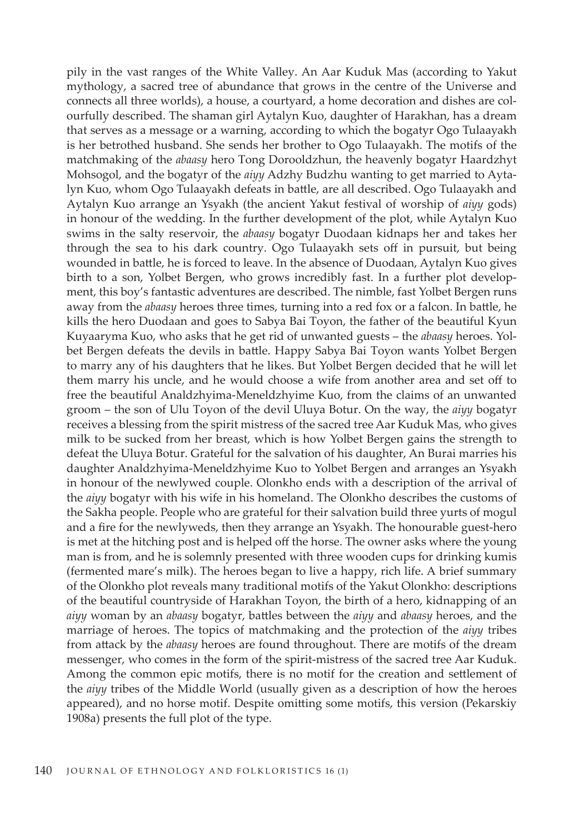pily in the vast ranges of the White Valley. An Aar Kuduk Mas (according to Yakut mythology, a sacred tree of abundance that grows in the centre of the Universe and connects all three worlds), a house, a courtyard, a home decoration and dishes are colourfully described. The shaman girl Aytalyn Kuo, daughter of Harakhan, has a dream that serves as a message or a warning, according to which the bogatyr Ogo Tulaayakh is her betrothed husband. She sends her brother to Ogo Tulaayakh. The motifs of the matchmaking of the *abaasy* hero Tong Dorooldzhun, the heavenly bogatyr Haardzhyt Mohsogol, and the bogatyr of the *aiyy* Adzhy Budzhu wanting to get married to Aytalyn Kuo, whom Ogo Tulaayakh defeats in battle, are all described. Ogo Tulaayakh and Aytalyn Kuo arrange an Ysyakh (the ancient Yakut festival of worship of *aiyy* gods) in honour of the wedding. In the further development of the plot, while Aytalyn Kuo swims in the salty reservoir, the *abaasy* bogatyr Duodaan kidnaps her and takes her through the sea to his dark country. Ogo Tulaayakh sets off in pursuit, but being wounded in battle, he is forced to leave. In the absence of Duodaan, Aytalyn Kuo gives birth to a son, Yolbet Bergen, who grows incredibly fast. In a further plot development, this boy's fantastic adventures are described. The nimble, fast Yolbet Bergen runs away from the *abaasy* heroes three times, turning into a red fox or a falcon. In battle, he kills the hero Duodaan and goes to Sabya Bai Toyon, the father of the beautiful Kyun Kuyaaryma Kuo, who asks that he get rid of unwanted guests – the *abaasy* heroes. Yolbet Bergen defeats the devils in battle. Happy Sabya Bai Toyon wants Yolbet Bergen to marry any of his daughters that he likes. But Yolbet Bergen decided that he will let them marry his uncle, and he would choose a wife from another area and set off to free the beautiful Analdzhyima-Meneldzhyime Kuo, from the claims of an unwanted groom – the son of Ulu Toyon of the devil Uluya Botur. On the way, the *aiyy* bogatyr receives a blessing from the spirit mistress of the sacred tree Aar Kuduk Mas, who gives milk to be sucked from her breast, which is how Yolbet Bergen gains the strength to defeat the Uluya Botur. Grateful for the salvation of his daughter, An Burai marries his daughter Analdzhyima-Meneldzhyime Kuo to Yolbet Bergen and arranges an Ysyakh in honour of the newlywed couple. Olonkho ends with a description of the arrival of the *aiyy* bogatyr with his wife in his homeland. The Olonkho describes the customs of the Sakha people. People who are grateful for their salvation build three yurts of mogul and a fire for the newlyweds, then they arrange an Ysyakh. The honourable guest-hero is met at the hitching post and is helped off the horse. The owner asks where the young man is from, and he is solemnly presented with three wooden cups for drinking kumis (fermented mare's milk). The heroes began to live a happy, rich life. A brief summary of the Olonkho plot reveals many traditional motifs of the Yakut Olonkho: descriptions of the beautiful countryside of Harakhan Toyon, the birth of a hero, kidnapping of an *aiyy* woman by an *abaasy* bogatyr, battles between the *aiyy* and *abaasy* heroes, and the marriage of heroes. The topics of matchmaking and the protection of the *aiyy* tribes from attack by the *abaasy* heroes are found throughout. There are motifs of the dream messenger, who comes in the form of the spirit-mistress of the sacred tree Aar Kuduk. Among the common epic motifs, there is no motif for the creation and settlement of the *aiyy* tribes of the Middle World (usually given as a description of how the heroes appeared), and no horse motif. Despite omitting some motifs, this version (Pekarskiy 1908a) presents the full plot of the type.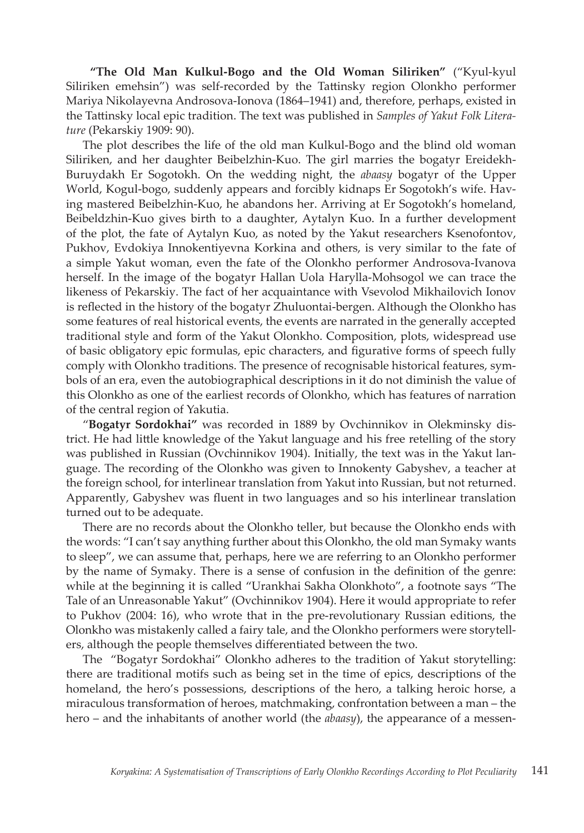**"The Old Man Kulkul-Bogo and the Old Woman Siliriken"** ("Kyul-kyul Siliriken emehsin") was self-recorded by the Tattinsky region Olonkho performer Mariya Nikolayevna Androsova-Ionova (1864–1941) and, therefore, perhaps, existed in the Tattinsky local epic tradition. The text was published in *Samples of Yakut Folk Literature* (Pekarskiy 1909: 90).

The plot describes the life of the old man Kulkul-Bogo and the blind old woman Siliriken, and her daughter Beibelzhin-Kuo. The girl marries the bogatyr Ereidekh-Buruydakh Er Sogotokh. On the wedding night, the *abaasy* bogatyr of the Upper World, Kogul-bogo, suddenly appears and forcibly kidnaps Er Sogotokh's wife. Having mastered Beibelzhin-Kuo, he abandons her. Arriving at Er Sogotokh's homeland, Beibeldzhin-Kuo gives birth to a daughter, Aytalyn Kuo. In a further development of the plot, the fate of Aytalyn Kuo, as noted by the Yakut researchers Ksenofontov, Pukhov, Evdokiya Innokentiyevna Korkina and others, is very similar to the fate of a simple Yakut woman, even the fate of the Olonkho performer Androsova-Ivanova herself. In the image of the bogatyr Hallan Uola Harylla-Mohsogol we can trace the likeness of Pekarskiy. The fact of her acquaintance with Vsevolod Mikhailovich Ionov is reflected in the history of the bogatyr Zhuluontai-bergen. Although the Olonkho has some features of real historical events, the events are narrated in the generally accepted traditional style and form of the Yakut Olonkho. Composition, plots, widespread use of basic obligatory epic formulas, epic characters, and figurative forms of speech fully comply with Olonkho traditions. The presence of recognisable historical features, symbols of an era, even the autobiographical descriptions in it do not diminish the value of this Olonkho as one of the earliest records of Olonkho, which has features of narration of the central region of Yakutia.

"**Bogatyr Sordokhai"** was recorded in 1889 by Ovchinnikov in Olekminsky district. He had little knowledge of the Yakut language and his free retelling of the story was published in Russian (Ovchinnikov 1904). Initially, the text was in the Yakut language. The recording of the Olonkho was given to Innokenty Gabyshev, a teacher at the foreign school, for interlinear translation from Yakut into Russian, but not returned. Apparently, Gabyshev was fluent in two languages and so his interlinear translation turned out to be adequate.

There are no records about the Olonkho teller, but because the Olonkho ends with the words: "I can't say anything further about this Olonkho, the old man Symaky wants to sleep", we can assume that, perhaps, here we are referring to an Olonkho performer by the name of Symaky. There is a sense of confusion in the definition of the genre: while at the beginning it is called "Urankhai Sakha Olonkhoto", a footnote says "The Tale of an Unreasonable Yakut" (Ovchinnikov 1904). Here it would appropriate to refer to Pukhov (2004: 16), who wrote that in the pre-revolutionary Russian editions, the Olonkho was mistakenly called a fairy tale, and the Olonkho performers were storytellers, although the people themselves differentiated between the two.

The "Bogatyr Sordokhai" Olonkho adheres to the tradition of Yakut storytelling: there are traditional motifs such as being set in the time of epics, descriptions of the homeland, the hero's possessions, descriptions of the hero, a talking heroic horse, a miraculous transformation of heroes, matchmaking, confrontation between a man – the hero – and the inhabitants of another world (the *abaasy*), the appearance of a messen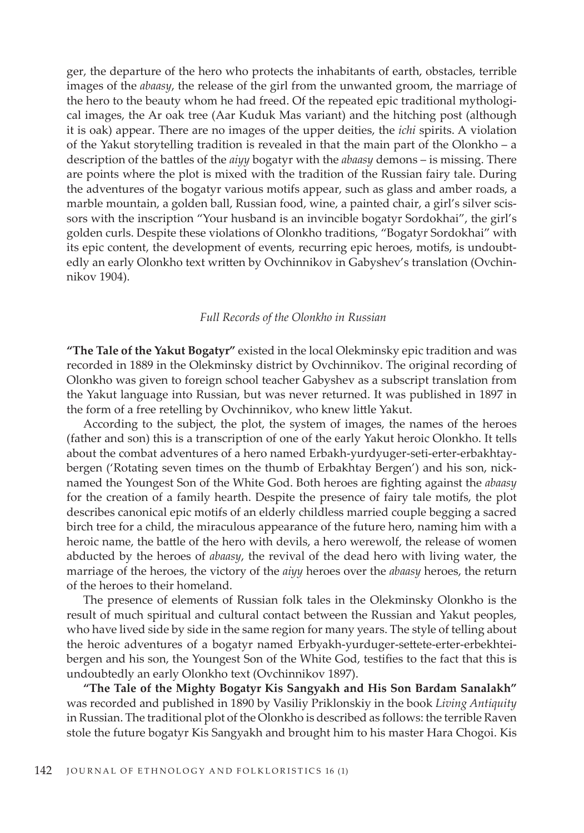ger, the departure of the hero who protects the inhabitants of earth, obstacles, terrible images of the *abaasy*, the release of the girl from the unwanted groom, the marriage of the hero to the beauty whom he had freed. Of the repeated epic traditional mythological images, the Ar oak tree (Aar Kuduk Mas variant) and the hitching post (although it is oak) appear. There are no images of the upper deities, the *ichi* spirits. A violation of the Yakut storytelling tradition is revealed in that the main part of the Olonkho – a description of the battles of the *aiyy* bogatyr with the *abaasy* demons – is missing. There are points where the plot is mixed with the tradition of the Russian fairy tale. During the adventures of the bogatyr various motifs appear, such as glass and amber roads, a marble mountain, a golden ball, Russian food, wine, a painted chair, a girl's silver scissors with the inscription "Your husband is an invincible bogatyr Sordokhai", the girl's golden curls. Despite these violations of Olonkho traditions, "Bogatyr Sordokhai" with its epic content, the development of events, recurring epic heroes, motifs, is undoubtedly an early Olonkho text written by Ovchinnikov in Gabyshev's translation (Ovchinnikov 1904).

#### *Full Records of the Olonkho in Russian*

**"The Tale of the Yakut Bogatyr"** existed in the local Olekminsky epic tradition and was recorded in 1889 in the Olekminsky district by Ovchinnikov. The original recording of Olonkho was given to foreign school teacher Gabyshev as a subscript translation from the Yakut language into Russian, but was never returned. It was published in 1897 in the form of a free retelling by Ovchinnikov, who knew little Yakut.

According to the subject, the plot, the system of images, the names of the heroes (father and son) this is a transcription of one of the early Yakut heroic Olonkho. It tells about the combat adventures of a hero named Erbakh-yurdyuger-seti-erter-erbakhtaybergen ('Rotating seven times on the thumb of Erbakhtay Bergen') and his son, nicknamed the Youngest Son of the White God. Both heroes are fighting against the *abaasy* for the creation of a family hearth. Despite the presence of fairy tale motifs, the plot describes canonical epic motifs of an elderly childless married couple begging a sacred birch tree for a child, the miraculous appearance of the future hero, naming him with a heroic name, the battle of the hero with devils, a hero werewolf, the release of women abducted by the heroes of *abaasy*, the revival of the dead hero with living water, the marriage of the heroes, the victory of the *aiyy* heroes over the *abaasy* heroes, the return of the heroes to their homeland.

The presence of elements of Russian folk tales in the Olekminsky Olonkho is the result of much spiritual and cultural contact between the Russian and Yakut peoples, who have lived side by side in the same region for many years. The style of telling about the heroic adventures of a bogatyr named Erbyakh-yurduger-settete-erter-erbekhteibergen and his son, the Youngest Son of the White God, testifies to the fact that this is undoubtedly an early Olonkho text (Ovchinnikov 1897).

**"The Tale of the Mighty Bogatyr Kis Sangyakh and His Son Bardam Sanalakh"**  was recorded and published in 1890 by Vasiliy Priklonskiy in the book *Living Antiquity* in Russian. The traditional plot of the Olonkho is described as follows: the terrible Raven stole the future bogatyr Kis Sangyakh and brought him to his master Hara Chogoi. Kis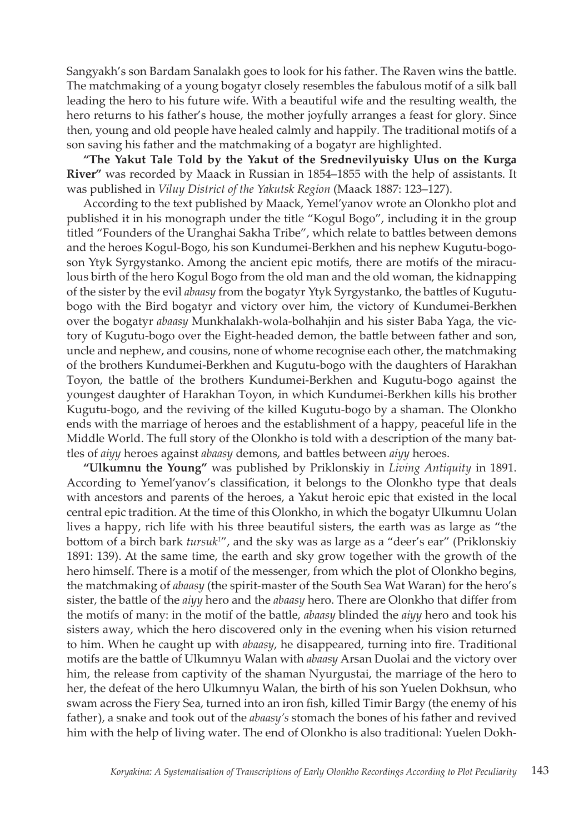Sangyakh's son Bardam Sanalakh goes to look for his father. The Raven wins the battle. The matchmaking of a young bogatyr closely resembles the fabulous motif of a silk ball leading the hero to his future wife. With a beautiful wife and the resulting wealth, the hero returns to his father's house, the mother joyfully arranges a feast for glory. Since then, young and old people have healed calmly and happily. The traditional motifs of a son saving his father and the matchmaking of a bogatyr are highlighted.

**"The Yakut Tale Told by the Yakut of the Srednevilyuisky Ulus on the Kurga River"** was recorded by Maack in Russian in 1854–1855 with the help of assistants. It was published in *Viluy District of the Yakutsk Region* (Maack 1887: 123–127).

According to the text published by Maack, Yemel'yanov wrote an Olonkho plot and published it in his monograph under the title "Kogul Bogo", including it in the group titled "Founders of the Uranghai Sakha Tribe", which relate to battles between demons and the heroes Kogul-Bogo, his son Kundumei-Berkhen and his nephew Kugutu-bogoson Ytyk Syrgystanko. Among the ancient epic motifs, there are motifs of the miraculous birth of the hero Kogul Bogo from the old man and the old woman, the kidnapping of the sister by the evil *abaasy* from the bogatyr Ytyk Syrgystanko, the battles of Kugutubogo with the Bird bogatyr and victory over him, the victory of Kundumei-Berkhen over the bogatyr *abaasy* Munkhalakh-wola-bolhahjin and his sister Baba Yaga, the victory of Kugutu-bogo over the Eight-headed demon, the battle between father and son, uncle and nephew, and cousins, none of whome recognise each other, the matchmaking of the brothers Kundumei-Berkhen and Kugutu-bogo with the daughters of Harakhan Toyon, the battle of the brothers Kundumei-Berkhen and Kugutu-bogo against the youngest daughter of Harakhan Toyon, in which Kundumei-Berkhen kills his brother Kugutu-bogo, and the reviving of the killed Kugutu-bogo by a shaman. The Olonkho ends with the marriage of heroes and the establishment of a happy, peaceful life in the Middle World. The full story of the Olonkho is told with a description of the many battles of *aiyy* heroes against *abaasy* demons, and battles between *aiyy* heroes.

**"Ulkumnu the Young"** was published by Priklonskiy in *Living Antiquity* in 1891. According to Yemel'yanov's classification, it belongs to the Olonkho type that deals with ancestors and parents of the heroes, a Yakut heroic epic that existed in the local central epic tradition. At the time of this Olonkho, in which the bogatyr Ulkumnu Uolan lives a happy, rich life with his three beautiful sisters, the earth was as large as "the bottom of a birch bark *tursuk<sup>1</sup>"*, and the sky was as large as a "deer's ear" (Priklonskiy 1891: 139). At the same time, the earth and sky grow together with the growth of the hero himself. There is a motif of the messenger, from which the plot of Olonkho begins, the matchmaking of *abaasy* (the spirit-master of the South Sea Wat Waran) for the hero's sister, the battle of the *aiyy* hero and the *abaasy* hero. There are Olonkho that differ from the motifs of many: in the motif of the battle, *abaasy* blinded the *aiyy* hero and took his sisters away, which the hero discovered only in the evening when his vision returned to him. When he caught up with *abaasy*, he disappeared, turning into fire. Traditional motifs are the battle of Ulkumnyu Walan with *abaasy* Arsan Duolai and the victory over him, the release from captivity of the shaman Nyurgustai, the marriage of the hero to her, the defeat of the hero Ulkumnyu Walan, the birth of his son Yuelen Dokhsun, who swam across the Fiery Sea, turned into an iron fish, killed Timir Bargy (the enemy of his father), a snake and took out of the *abaasy's* stomach the bones of his father and revived him with the help of living water. The end of Olonkho is also traditional: Yuelen Dokh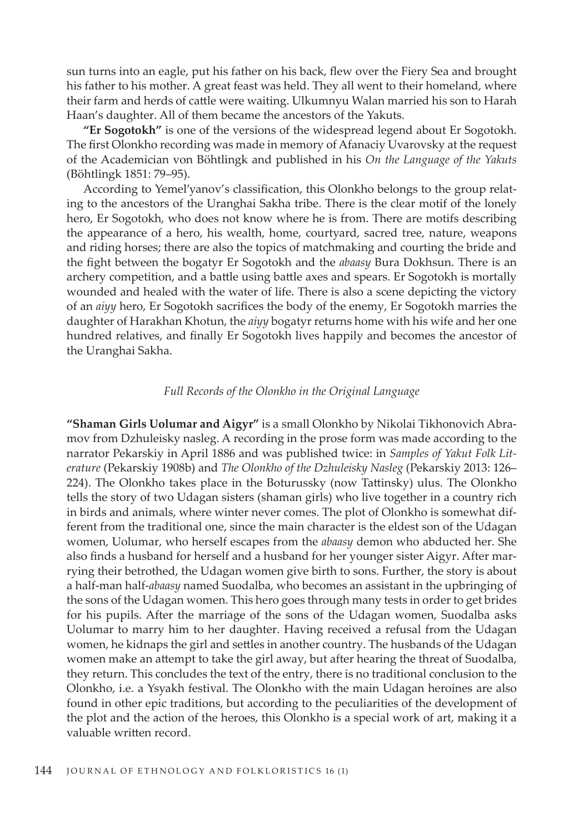sun turns into an eagle, put his father on his back, flew over the Fiery Sea and brought his father to his mother. A great feast was held. They all went to their homeland, where their farm and herds of cattle were waiting. Ulkumnyu Walan married his son to Harah Haan's daughter. All of them became the ancestors of the Yakuts.

**"Er Sogotokh"** is one of the versions of the widespread legend about Er Sogotokh. The first Olonkho recording was made in memory of Afanaciy Uvarovsky at the request of the Academician von Böhtlingk and published in his *On the Language of the Yakuts*  (Böhtlingk 1851: 79–95).

According to Yemel'yanov's classification, this Olonkho belongs to the group relating to the ancestors of the Uranghai Sakha tribe. There is the clear motif of the lonely hero, Er Sogotokh, who does not know where he is from. There are motifs describing the appearance of a hero, his wealth, home, courtyard, sacred tree, nature, weapons and riding horses; there are also the topics of matchmaking and courting the bride and the fight between the bogatyr Er Sogotokh and the *abaasy* Bura Dokhsun. There is an archery competition, and a battle using battle axes and spears. Er Sogotokh is mortally wounded and healed with the water of life. There is also a scene depicting the victory of an *aiyy* hero, Er Sogotokh sacrifices the body of the enemy, Er Sogotokh marries the daughter of Harakhan Khotun, the *aiyy* bogatyr returns home with his wife and her one hundred relatives, and finally Er Sogotokh lives happily and becomes the ancestor of the Uranghai Sakha.

#### *Full Records of the Olonkho in the Original Language*

**"Shaman Girls Uolumar and Aigyr"** is a small Olonkho by Nikolai Tikhonovich Abramov from Dzhuleisky nasleg. A recording in the prose form was made according to the narrator Pekarskiy in April 1886 and was published twice: in *Samples of Yakut Folk Literature* (Pekarskiy 1908b) and *The Olonkho of the Dzhuleisky Nasleg* (Pekarskiy 2013: 126– 224). The Olonkho takes place in the Boturussky (now Tattinsky) ulus. The Olonkho tells the story of two Udagan sisters (shaman girls) who live together in a country rich in birds and animals, where winter never comes. The plot of Olonkho is somewhat different from the traditional one, since the main character is the eldest son of the Udagan women, Uolumar, who herself escapes from the *abaasy* demon who abducted her. She also finds a husband for herself and a husband for her younger sister Aigyr. After marrying their betrothed, the Udagan women give birth to sons. Further, the story is about a half-man half-*abaasy* named Suodalba, who becomes an assistant in the upbringing of the sons of the Udagan women. This hero goes through many tests in order to get brides for his pupils. After the marriage of the sons of the Udagan women, Suodalba asks Uolumar to marry him to her daughter. Having received a refusal from the Udagan women, he kidnaps the girl and settles in another country. The husbands of the Udagan women make an attempt to take the girl away, but after hearing the threat of Suodalba, they return. This concludes the text of the entry, there is no traditional conclusion to the Olonkho, i.e. a Ysyakh festival. The Olonkho with the main Udagan heroines are also found in other epic traditions, but according to the peculiarities of the development of the plot and the action of the heroes, this Olonkho is a special work of art, making it a valuable written record.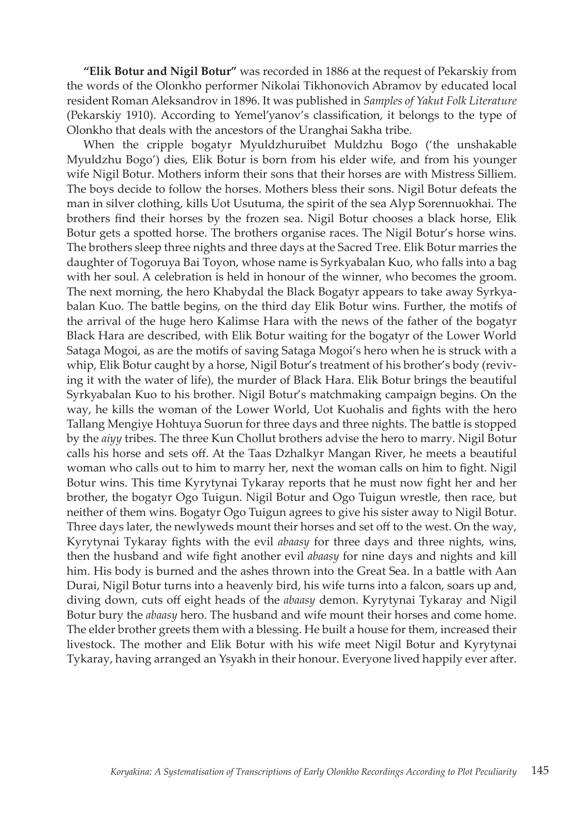**"Elik Botur and Nigil Botur"** was recorded in 1886 at the request of Pekarskiy from the words of the Olonkho performer Nikolai Tikhonovich Abramov by educated local resident Roman Aleksandrov in 1896. It was published in *Samples of Yakut Folk Literature*  (Pekarskiy 1910). According to Yemel'yanov's classification, it belongs to the type of Olonkho that deals with the ancestors of the Uranghai Sakha tribe.

When the cripple bogatyr Myuldzhuruibet Muldzhu Bogo ('the unshakable Myuldzhu Bogo') dies, Elik Botur is born from his elder wife, and from his younger wife Nigil Botur. Mothers inform their sons that their horses are with Mistress Silliem. The boys decide to follow the horses. Mothers bless their sons. Nigil Botur defeats the man in silver clothing, kills Uot Usutuma, the spirit of the sea Alyp Sorennuokhai. The brothers find their horses by the frozen sea. Nigil Botur chooses a black horse, Elik Botur gets a spotted horse. The brothers organise races. The Nigil Botur's horse wins. The brothers sleep three nights and three days at the Sacred Tree. Elik Botur marries the daughter of Togoruya Bai Toyon, whose name is Syrkyabalan Kuo, who falls into a bag with her soul. A celebration is held in honour of the winner, who becomes the groom. The next morning, the hero Khabydal the Black Bogatyr appears to take away Syrkyabalan Kuo. The battle begins, on the third day Elik Botur wins. Further, the motifs of the arrival of the huge hero Kalimse Hara with the news of the father of the bogatyr Black Hara are described, with Elik Botur waiting for the bogatyr of the Lower World Sataga Mogoi, as are the motifs of saving Sataga Mogoi's hero when he is struck with a whip, Elik Botur caught by a horse, Nigil Botur's treatment of his brother's body (reviving it with the water of life), the murder of Black Hara. Elik Botur brings the beautiful Syrkyabalan Kuo to his brother. Nigil Botur's matchmaking campaign begins. On the way, he kills the woman of the Lower World, Uot Kuohalis and fights with the hero Tallang Mengiye Hohtuya Suorun for three days and three nights. The battle is stopped by the *aiyy* tribes. The three Kun Chollut brothers advise the hero to marry. Nigil Botur calls his horse and sets off. At the Taas Dzhalkyr Mangan River, he meets a beautiful woman who calls out to him to marry her, next the woman calls on him to fight. Nigil Botur wins. This time Kyrytynai Tykaray reports that he must now fight her and her brother, the bogatyr Ogo Tuigun. Nigil Botur and Ogo Tuigun wrestle, then race, but neither of them wins. Bogatyr Ogo Tuigun agrees to give his sister away to Nigil Botur. Three days later, the newlyweds mount their horses and set off to the west. On the way, Kyrytynai Tykaray fights with the evil *abaasy* for three days and three nights, wins, then the husband and wife fight another evil *abaasy* for nine days and nights and kill him. His body is burned and the ashes thrown into the Great Sea. In a battle with Aan Durai, Nigil Botur turns into a heavenly bird, his wife turns into a falcon, soars up and, diving down, cuts off eight heads of the *abaasy* demon. Kyrytynai Tykaray and Nigil Botur bury the *abaasy* hero. The husband and wife mount their horses and come home. The elder brother greets them with a blessing. He built a house for them, increased their livestock. The mother and Elik Botur with his wife meet Nigil Botur and Kyrytynai Tykaray, having arranged an Ysyakh in their honour. Everyone lived happily ever after.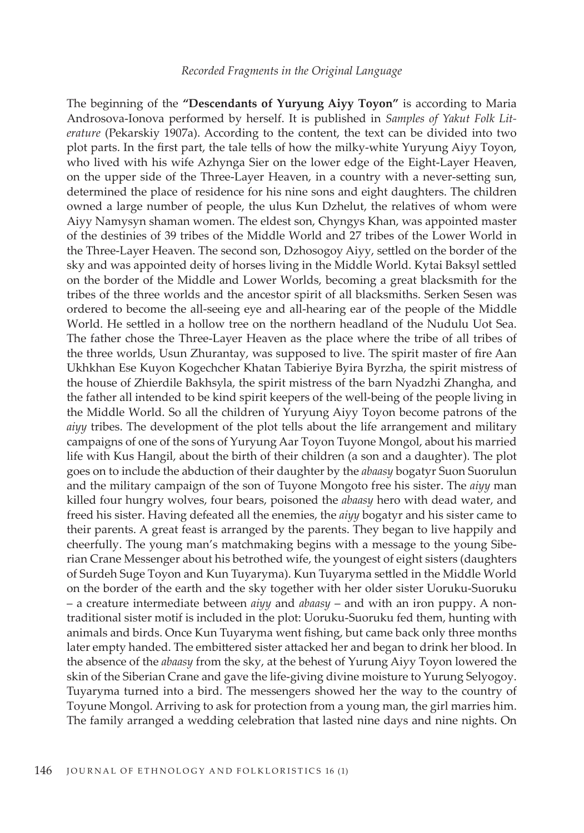#### *Recorded Fragments in the Original Language*

The beginning of the **"Descendants of Yuryung Aiyy Toyon"** is according to Maria Androsova-Ionova performed by herself. It is published in *Samples of Yakut Folk Literature* (Pekarskiy 1907a). According to the content, the text can be divided into two plot parts. In the first part, the tale tells of how the milky-white Yuryung Aiyy Toyon, who lived with his wife Azhynga Sier on the lower edge of the Eight-Layer Heaven, on the upper side of the Three-Layer Heaven, in a country with a never-setting sun, determined the place of residence for his nine sons and eight daughters. The children owned a large number of people, the ulus Kun Dzhelut, the relatives of whom were Aiyy Namysyn shaman women. The eldest son, Chyngys Khan, was appointed master of the destinies of 39 tribes of the Middle World and 27 tribes of the Lower World in the Three-Layer Heaven. The second son, Dzhosogoy Aiyy, settled on the border of the sky and was appointed deity of horses living in the Middle World. Kytai Baksyl settled on the border of the Middle and Lower Worlds, becoming a great blacksmith for the tribes of the three worlds and the ancestor spirit of all blacksmiths. Serken Sesen was ordered to become the all-seeing eye and all-hearing ear of the people of the Middle World. He settled in a hollow tree on the northern headland of the Nudulu Uot Sea. The father chose the Three-Layer Heaven as the place where the tribe of all tribes of the three worlds, Usun Zhurantay, was supposed to live. The spirit master of fire Aan Ukhkhan Ese Kuyon Kogechcher Khatan Tabieriye Byira Byrzha, the spirit mistress of the house of Zhierdile Bakhsyla, the spirit mistress of the barn Nyadzhi Zhangha, and the father all intended to be kind spirit keepers of the well-being of the people living in the Middle World. So all the children of Yuryung Aiyy Toyon become patrons of the *aiyy* tribes. The development of the plot tells about the life arrangement and military campaigns of one of the sons of Yuryung Aar Toyon Tuyone Mongol, about his married life with Kus Hangil, about the birth of their children (a son and a daughter). The plot goes on to include the abduction of their daughter by the *abaasy* bogatyr Suon Suorulun and the military campaign of the son of Tuyone Mongoto free his sister. The *aiyy* man killed four hungry wolves, four bears, poisoned the *abaasy* hero with dead water, and freed his sister. Having defeated all the enemies, the *aiyy* bogatyr and his sister came to their parents. A great feast is arranged by the parents. They began to live happily and cheerfully. The young man's matchmaking begins with a message to the young Siberian Crane Messenger about his betrothed wife, the youngest of eight sisters (daughters of Surdeh Suge Toyon and Kun Tuyaryma). Kun Tuyaryma settled in the Middle World on the border of the earth and the sky together with her older sister Uoruku-Suoruku – a creature intermediate between *aiyy* and *abaasy* – and with an iron puppy. A nontraditional sister motif is included in the plot: Uoruku-Suoruku fed them, hunting with animals and birds. Once Kun Tuyaryma went fishing, but came back only three months later empty handed. The embittered sister attacked her and began to drink her blood. In the absence of the *abaasy* from the sky, at the behest of Yurung Aiyy Toyon lowered the skin of the Siberian Crane and gave the life-giving divine moisture to Yurung Selyogoy. Tuyaryma turned into a bird. The messengers showed her the way to the country of Toyune Mongol. Arriving to ask for protection from a young man, the girl marries him. The family arranged a wedding celebration that lasted nine days and nine nights. On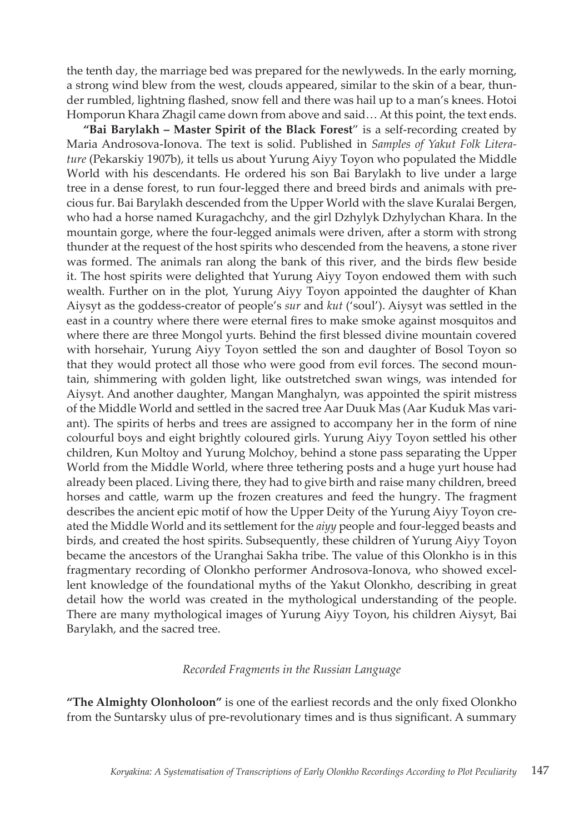the tenth day, the marriage bed was prepared for the newlyweds. In the early morning, a strong wind blew from the west, clouds appeared, similar to the skin of a bear, thunder rumbled, lightning flashed, snow fell and there was hail up to a man's knees. Hotoi Homporun Khara Zhagil came down from above and said… At this point, the text ends.

**"Bai Barylakh – Master Spirit of the Black Forest**" is a self-recording created by Maria Androsova-Ionova. The text is solid. Published in *Samples of Yakut Folk Literature* (Pekarskiy 1907b), it tells us about Yurung Aiyy Toyon who populated the Middle World with his descendants. He ordered his son Bai Barylakh to live under a large tree in a dense forest, to run four-legged there and breed birds and animals with precious fur. Bai Barylakh descended from the Upper World with the slave Kuralai Bergen, who had a horse named Kuragachchy, and the girl Dzhylyk Dzhylychan Khara. In the mountain gorge, where the four-legged animals were driven, after a storm with strong thunder at the request of the host spirits who descended from the heavens, a stone river was formed. The animals ran along the bank of this river, and the birds flew beside it. The host spirits were delighted that Yurung Aiyy Toyon endowed them with such wealth. Further on in the plot, Yurung Aiyy Toyon appointed the daughter of Khan Aiysyt as the goddess-creator of people's *sur* and *kut* ('soul'). Aiysyt was settled in the east in a country where there were eternal fires to make smoke against mosquitos and where there are three Mongol yurts. Behind the first blessed divine mountain covered with horsehair, Yurung Aiyy Toyon settled the son and daughter of Bosol Toyon so that they would protect all those who were good from evil forces. The second mountain, shimmering with golden light, like outstretched swan wings, was intended for Aiysyt. And another daughter, Mangan Manghalyn, was appointed the spirit mistress of the Middle World and settled in the sacred tree Aar Duuk Mas (Aar Kuduk Mas variant). The spirits of herbs and trees are assigned to accompany her in the form of nine colourful boys and eight brightly coloured girls. Yurung Aiyy Toyon settled his other children, Kun Moltoy and Yurung Molchoy, behind a stone pass separating the Upper World from the Middle World, where three tethering posts and a huge yurt house had already been placed. Living there, they had to give birth and raise many children, breed horses and cattle, warm up the frozen creatures and feed the hungry. The fragment describes the ancient epic motif of how the Upper Deity of the Yurung Aiyy Toyon created the Middle World and its settlement for the *aiyy* people and four-legged beasts and birds, and created the host spirits. Subsequently, these children of Yurung Aiyy Toyon became the ancestors of the Uranghai Sakha tribe. The value of this Olonkho is in this fragmentary recording of Olonkho performer Androsova-Ionova, who showed excellent knowledge of the foundational myths of the Yakut Olonkho, describing in great detail how the world was created in the mythological understanding of the people. There are many mythological images of Yurung Aiyy Toyon, his children Aiysyt, Bai Barylakh, and the sacred tree.

## *Recorded Fragments in the Russian Language*

**"The Almighty Olonholoon"** is one of the earliest records and the only fixed Olonkho from the Suntarsky ulus of pre-revolutionary times and is thus significant. A summary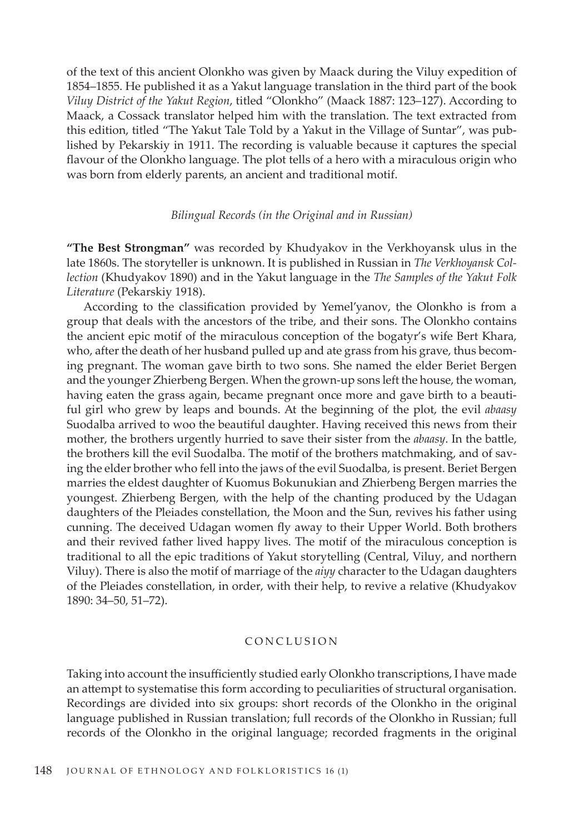of the text of this ancient Olonkho was given by Maack during the Viluy expedition of 1854–1855. He published it as a Yakut language translation in the third part of the book *Viluy District of the Yakut Region*, titled "Olonkho" (Maack 1887: 123–127). According to Maack, a Cossack translator helped him with the translation. The text extracted from this edition, titled "The Yakut Tale Told by a Yakut in the Village of Suntar", was published by Pekarskiy in 1911. The recording is valuable because it captures the special flavour of the Olonkho language. The plot tells of a hero with a miraculous origin who was born from elderly parents, an ancient and traditional motif.

#### *Bilingual Records (in the Original and in Russian)*

**"The Best Strongman"** was recorded by Khudyakov in the Verkhoyansk ulus in the late 1860s. The storyteller is unknown. It is published in Russian in *The Verkhoyansk Collection* (Khudyakov 1890) and in the Yakut language in the *The Samples of the Yakut Folk Literature* (Pekarskiy 1918).

According to the classification provided by Yemel'yanov, the Olonkho is from a group that deals with the ancestors of the tribe, and their sons. The Olonkho contains the ancient epic motif of the miraculous conception of the bogatyr's wife Bert Khara, who, after the death of her husband pulled up and ate grass from his grave, thus becoming pregnant. The woman gave birth to two sons. She named the elder Beriet Bergen and the younger Zhierbeng Bergen. When the grown-up sons left the house, the woman, having eaten the grass again, became pregnant once more and gave birth to a beautiful girl who grew by leaps and bounds. At the beginning of the plot, the evil *abaasy* Suodalba arrived to woo the beautiful daughter. Having received this news from their mother, the brothers urgently hurried to save their sister from the *abaasy*. In the battle, the brothers kill the evil Suodalba. The motif of the brothers matchmaking, and of saving the elder brother who fell into the jaws of the evil Suodalba, is present. Beriet Bergen marries the eldest daughter of Kuomus Bokunukian and Zhierbeng Bergen marries the youngest. Zhierbeng Bergen, with the help of the chanting produced by the Udagan daughters of the Pleiades constellation, the Moon and the Sun, revives his father using cunning. The deceived Udagan women fly away to their Upper World. Both brothers and their revived father lived happy lives. The motif of the miraculous conception is traditional to all the epic traditions of Yakut storytelling (Central, Viluy, and northern Viluy). There is also the motif of marriage of the *aiyy* character to the Udagan daughters of the Pleiades constellation, in order, with their help, to revive a relative (Khudyakov 1890: 34–50, 51–72).

### CONCLUSION

Taking into account the insufficiently studied early Olonkho transcriptions, I have made an attempt to systematise this form according to peculiarities of structural organisation. Recordings are divided into six groups: short records of the Olonkho in the original language published in Russian translation; full records of the Olonkho in Russian; full records of the Olonkho in the original language; recorded fragments in the original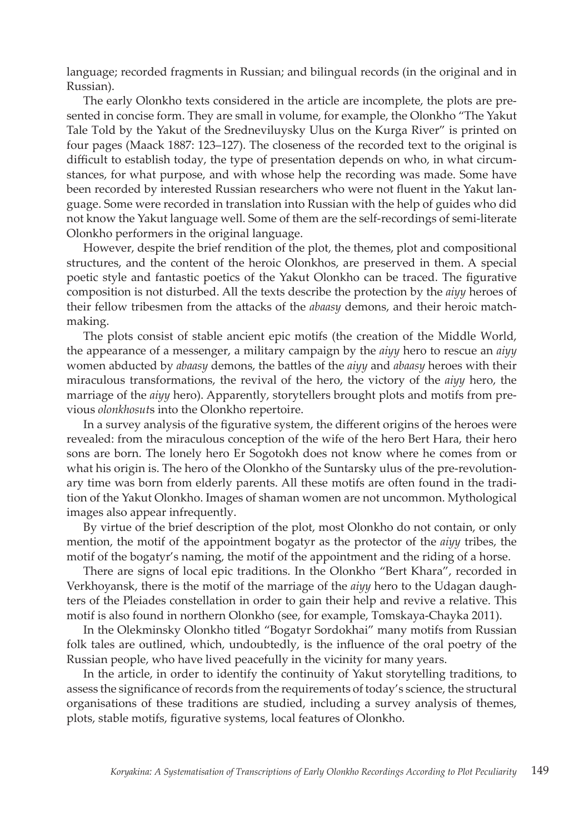language; recorded fragments in Russian; and bilingual records (in the original and in Russian).

The early Olonkho texts considered in the article are incomplete, the plots are presented in concise form. They are small in volume, for example, the Olonkho "The Yakut Tale Told by the Yakut of the Sredneviluysky Ulus on the Kurga River" is printed on four pages (Maack 1887: 123–127). The closeness of the recorded text to the original is difficult to establish today, the type of presentation depends on who, in what circumstances, for what purpose, and with whose help the recording was made. Some have been recorded by interested Russian researchers who were not fluent in the Yakut language. Some were recorded in translation into Russian with the help of guides who did not know the Yakut language well. Some of them are the self-recordings of semi-literate Olonkho performers in the original language.

However, despite the brief rendition of the plot, the themes, plot and compositional structures, and the content of the heroic Olonkhos, are preserved in them. A special poetic style and fantastic poetics of the Yakut Olonkho can be traced. The figurative composition is not disturbed. All the texts describe the protection by the *aiyy* heroes of their fellow tribesmen from the attacks of the *abaasy* demons, and their heroic matchmaking.

The plots consist of stable ancient epic motifs (the creation of the Middle World, the appearance of a messenger, a military campaign by the *aiyy* hero to rescue an *aiyy* women abducted by *abaasy* demons, the battles of the *aiyy* and *abaasy* heroes with their miraculous transformations, the revival of the hero, the victory of the *aiyy* hero, the marriage of the *aiyy* hero). Apparently, storytellers brought plots and motifs from previous *olonkhosut*s into the Olonkho repertoire.

In a survey analysis of the figurative system, the different origins of the heroes were revealed: from the miraculous conception of the wife of the hero Bert Hara, their hero sons are born. The lonely hero Er Sogotokh does not know where he comes from or what his origin is. The hero of the Olonkho of the Suntarsky ulus of the pre-revolutionary time was born from elderly parents. All these motifs are often found in the tradition of the Yakut Olonkho. Images of shaman women are not uncommon. Mythological images also appear infrequently.

By virtue of the brief description of the plot, most Olonkho do not contain, or only mention, the motif of the appointment bogatyr as the protector of the *aiyy* tribes, the motif of the bogatyr's naming, the motif of the appointment and the riding of a horse.

There are signs of local epic traditions. In the Olonkho "Bert Khara", recorded in Verkhoyansk, there is the motif of the marriage of the *aiyy* hero to the Udagan daughters of the Pleiades constellation in order to gain their help and revive a relative. This motif is also found in northern Olonkho (see, for example, Tomskaya-Chayka 2011).

In the Olekminsky Olonkho titled "Bogatyr Sordokhai" many motifs from Russian folk tales are outlined, which, undoubtedly, is the influence of the oral poetry of the Russian people, who have lived peacefully in the vicinity for many years.

In the article, in order to identify the continuity of Yakut storytelling traditions, to assess the significance of records from the requirements of today's science, the structural organisations of these traditions are studied, including a survey analysis of themes, plots, stable motifs, figurative systems, local features of Olonkho.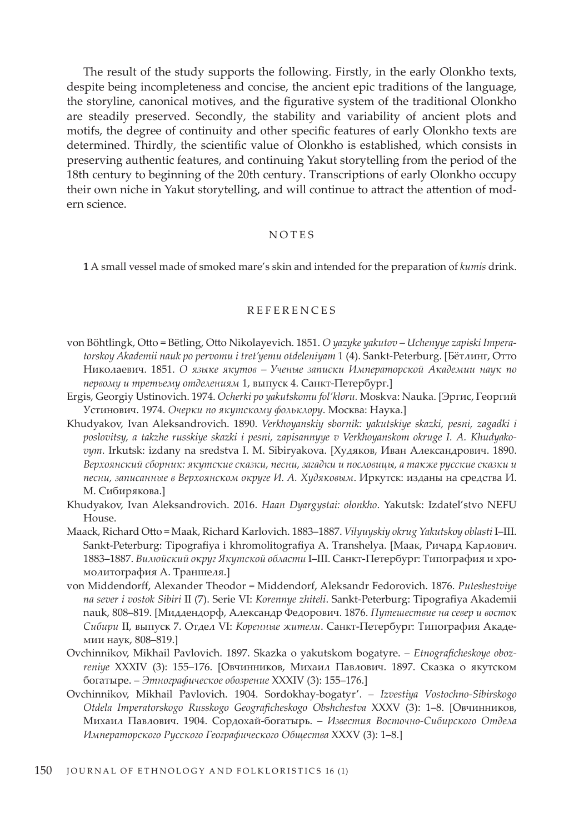The result of the study supports the following. Firstly, in the early Olonkho texts, despite being incompleteness and concise, the ancient epic traditions of the language, the storyline, canonical motives, and the figurative system of the traditional Olonkho are steadily preserved. Secondly, the stability and variability of ancient plots and motifs, the degree of continuity and other specific features of early Olonkho texts are determined. Thirdly, the scientific value of Olonkho is established, which consists in preserving authentic features, and continuing Yakut storytelling from the period of the 18th century to beginning of the 20th century. Transcriptions of early Olonkho occupy their own niche in Yakut storytelling, and will continue to attract the attention of modern science.

#### NOTES

**1** A small vessel made of smoked mare's skin and intended for the preparation of *kumis* drink.

#### REFERENCES

- von Böhtlingk, Otto = Bёtling, Otto Nikolayevich. 1851. *O yazyke yakutov – Uchenyye zapiski Impera*torskoy Akademii nauk po pervomu i tret'yemu otdeleniyam 1 (4). Sankt-Peterburg. [Бётлинг, Отто Николаевич. 1851. *О языке якутов – Ученые записки Императорской Академии наук по первому и третьему отделениям* 1, выпуск 4. Санкт-Петербург.]
- Ergis, Georgiy Ustinovich. 1974. *Ocherki po yakutskomu fol'kloru.* Moskva: Nauka. [Эргис, Георгий Устинович. 1974. *Очерки по якутскому фольклору*. Москва: Наука.]
- Khudyakov, Ivan Aleksandrovich. 1890. *Verkhoyanskiy sbornik: yakutskiye skazki, pesni, zagadki i poslovitsy, a takzhe russkiye skazki i pesni, zapisannyye v Verkhoyanskom okruge I. A. Khudyakovym*. Irkutsk: izdany na sredstva I. M. Sibiryakova. [Худяков, Иван Александрович. 1890. *Верхоянский сборник: якутские сказки, песни, загадки и пословицы, а также русские сказки и песни, записанные в Верхоянском округе И. А. Худяковым*. Иркутск: изданы на средства И. М. Сибирякова.]
- Khudyakov, Ivan Aleksandrovich. 2016. *Haan Dyargystai: olonkho*. Yakutsk: Izdatel'stvo NEFU House.
- Maack, Richard Otto = Maak, Richard Karlovich. 1883–1887. *Vilyuyskiy okrug Yakutskoy oblasti* I–III. Sankt-Peterburg: Tipografiya i khromolitografiya A. Transhelya. [Маак, Ричард Карлович. 1883–1887. *Вилюйский округ Якутской области* I–III. Санкт-Петербург: Типография и хромолитография А. Траншеля.]
- von Middendorff, Alexander Theodor = Middendorf, Aleksandr Fedorovich. 1876. *Puteshestviye na sever i vostok Sibiri* II (7). Serie VI: *Korennye zhiteli*. Sankt-Peterburg: Tipografiya Akademii nauk, 808–819. [Миддендорф, Александр Федорович. 1876. *Путешествие на север и восток Сибири* II, выпуск 7. Oтдел VI: *Коренные жители*. Санкт-Петербург: Типография Академии наук, 808–819.]
- Ovchinnikov, Mikhail Pavlovich. 1897. Skazka o yakutskom bogatyre. *Etnograficheskoye obozreniye* XXXIV (3): 155–176. [Овчинников, Михаил Павлович. 1897. Сказка о якутском богатыре. – *Этнографическое обозрение* XXXIV (3): 155–176.]
- Ovchinnikov, Mikhail Pavlovich. 1904. Sordokhay-bogatyr'. *Izvestiya Vostochno-Sibirskogo Otdela Imperatorskogo Russkogo Geograficheskogo Obshchestva* ХХХV (3): 1–8. [Овчинников, Михаил Павлович. 1904. Сордохай-богатырь. – *Известия Восточно-Сибирского Отдела Императорского Русского Географического Общества* ХХХV (3): 1–8.]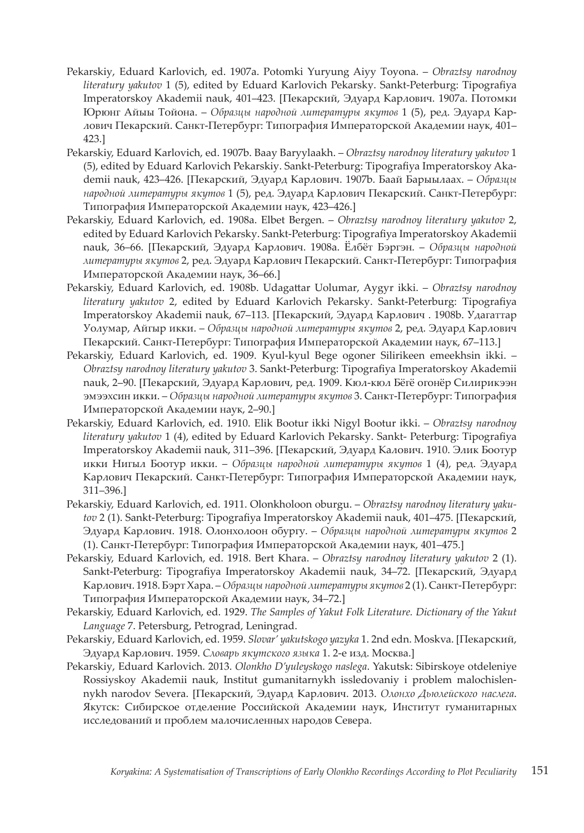- Pekarskiy, Eduard Karlovich, ed. 1907a. Potomki Yuryung Aiyy Toyona. *Obraztsy narodnoy literatury yakutov* 1 (5), edited by Eduard Karlovich Pekarsky. Sankt-Peterburg: Tipografiya Imperatorskoy Akademii nauk, 401–423. [Пекарский, Эдуард Карлович. 1907a. Потомки Юрюнг Айыы Тойона. – *Образцы народной литературы якутов* 1 (5), ред. Эдуард Карлович Пекарский. Санкт-Петербург: Типография Императорской Академии наук, 401– 423.]
- Pekarskiy, Eduard Karlovich, ed. 1907b. Baay Baryylaakh. *Obraztsy narodnoy literatury yakutov* 1 (5), edited by Eduard Karlovich Pekarskiy. Sankt-Peterburg: Tipografiya Imperatorskoy Akademii nauk, 423–426. [Пекарский, Эдуард Карлович. 1907b. Баай Барыылаах. – *Образцы народной литературы якутов* 1 (5), ред. Эдуард Карлович Пекарский. Санкт-Петербург: Типография Императорской Академии наук, 423–426.]
- Pekarskiy, Eduard Karlovich, ed. 1908a. Elbet Bergen. *Obraztsy narodnoy literatury yakutov* 2, edited by Eduard Karlovich Pekarsky. Sankt-Peterburg: Tipografiya Imperatorskoy Akademii nauk, 36–66. [Пекарский, Эдуард Карлович. 1908a. Ёлбёт Бэргэн. – *Образцы народной литературы якутов* 2, ред. Эдуард Карлович Пекарский. Санкт-Петербург: Типография Императорской Академии наук, 36–66.]
- Pekarskiy, Eduard Karlovich, ed. 1908b. Udagattar Uolumar, Aygyr ikki. *Obraztsy narodnoy literatury yakutov* 2, edited by Eduard Karlovich Pekarsky. Sankt-Peterburg: Tipografiya Imperatorskoy Akademii nauk, 67–113. [Пекарский, Эдуард Карлович . 1908b. Удагаттар Уолумар, Айгыр икки. – *Образцы народной литературы якутов* 2, ред. Эдуард Карлович Пекарский. Санкт-Петербург: Типография Императорской Академии наук, 67–113.]
- Pekarskiy, Eduard Karlovich, ed. 1909. Kyul-kyul Bege ogoner Silirikeen emeekhsin ikki. *Obraztsy narodnoy literatury yakutov* 3. Sankt-Peterburg: Tipografiya Imperatorskoy Akademii nauk, 2–90. [Пекарский, Эдуард Карлович, ред. 1909. Кюл-кюл Бёгё огонёр Силирикээн эмээхсин икки. – *Образцы народной литературы якутов* 3. Санкт-Петербург: Типография Императорской Академии наук, 2–90.]
- Pekarskiy, Eduard Karlovich, ed. 1910. Elik Bootur ikki Nigyl Bootur ikki. *Obraztsy narodnoy literatury yakutov* 1 (4), edited by Eduard Karlovich Pekarsky. Sankt- Peterburg: Tipografiya Imperatorskoy Akademii nauk, 311–396. [Пекарский, Эдуард Калович. 1910. Элик Боотур икки Нигыл Боотур икки. – *Образцы народной литературы якутов* 1 (4), ред. Эдуард Карлович Пекарский. Санкт-Петербург: Типография Императорской Академии наук, 311–396.]
- Pekarskiy, Eduard Karlovich, ed. 1911. Olonkholoon oburgu. *Obraztsy narodnoy literatury yakutov* 2 (1). Sankt-Peterburg: Tipografiya Imperatorskoy Akademii nauk, 401–475. [Пекарский, Эдуард Карлович. 1918. Олонхолоон обургу. – *Образцы народной литературы якутов* 2 (1). Санкт-Петербург: Типография Императорской Академии наук, 401–475.]
- Pekarskiy, Eduard Karlovich, ed. 1918. Bert Khara. *Obraztsy narodnoy literatury yakutov* 2 (1). Sankt-Peterburg: Tipografiya Imperatorskoy Akademii nauk, 34–72. [Пекарский, Эдуард Карлович. 1918. Бэрт Хара. – *Образцы народной литературы якутов* 2 (1). Санкт-Петербург: Типография Императорской Академии наук, 34–72.]
- Pekarskiy, Eduard Karlovich, ed. 1929. *The Samples of Yakut Folk Literature. Dictionary of the Yakut Language* 7. Petersburg, Petrograd, Leningrad.
- Pekarskiy, Eduard Karlovich, ed. 1959. *Slovar' yakutskogo yazyka* 1. 2nd edn. Moskva. [Пекарский, Эдуард Карлович. 1959. *Словарь якутского языка* 1. 2-е изд. Москва.]
- Pekarskiy, Eduard Karlovich. 2013. *Olonkho D'yuleyskogo naslega*. Yakutsk: Sibirskoye otdeleniye Rossiyskoy Akademii nauk, Institut gumanitarnykh issledovaniy i problem malochislennykh narodov Severa. [Пекарский, Эдуард Карлович. 2013. *Олонхо Дьюлейского наслега*. Якутск: Сибирское отделение Российской Академии наук, Институт гуманитарных исследований и проблем малочисленных народов Севера.